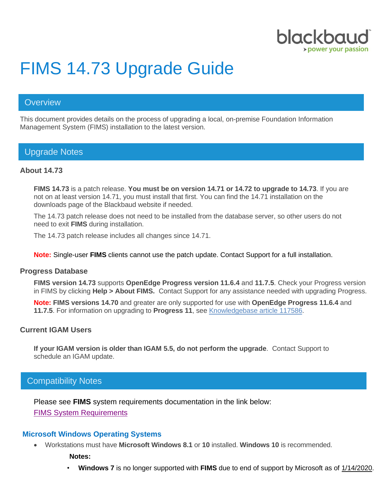

# FIMS 14.73 Upgrade Guide

# **Overview**

This document provides details on the process of upgrading a local, on-premise Foundation Information Management System (FIMS) installation to the latest version.

# Upgrade Notes

# **About 14.73**

**FIMS 14.73** is a patch release. **You must be on version 14.71 or 14.72 to upgrade to 14.73**. If you are not on at least version 14.71, you must install that first. You can find the 14.71 installation on the downloads page of the Blackbaud website if needed.

The 14.73 patch release does not need to be installed from the database server, so other users do not need to exit **FIMS** during installation.

The 14.73 patch release includes all changes since 14.71.

**Note:** Single-user **FIMS** clients cannot use the patch update. Contact Support for a full installation.

#### **Progress Database**

**FIMS version 14.73** supports **OpenEdge Progress version 11.6.4** and **11.7.5**. Check your Progress version in FIMS by clicking **Help > About FIMS.** Contact Support for any assistance needed with upgrading Progress.

**Note: FIMS versions 14.70** and greater are only supported for use with **OpenEdge Progress 11.6.4** and **11.7.5**. For information on upgrading to **Progress 11**, see [Knowledgebase article 117586.](https://kb.blackbaud.com/articles/Article/117586?_ga=2.229194654.345548750.1549898302-1694641167.1503691833)

# **Current IGAM Users**

**If your IGAM version is older than IGAM 5.5, do not perform the upgrade**. Contact Support to schedule an IGAM update.

# Compatibility Notes

Please see **FIMS** system requirements documentation in the link below: [FIMS System Requirements](https://www.blackbaud.com/training-support/support/system-requirements/fims-system-requirements#compatibility)

# **Microsoft Windows Operating Systems**

• Workstations must have **Microsoft Windows 8.1** or **10** installed. **Windows 10** is recommended.

**Notes:**

• **Windows 7** is no longer supported with **FIMS** due to end of support by Microsoft as of [1/14/2020.](https://support.microsoft.com/en-us/help/4057281)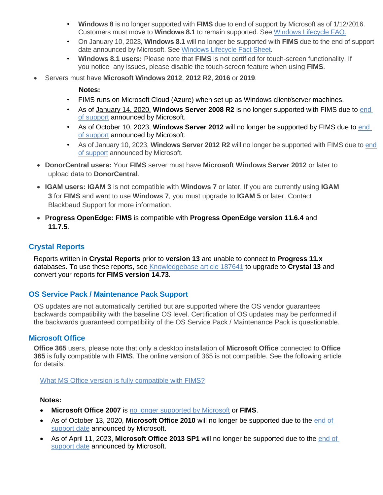- **Windows 8** is no longer supported with **FIMS** due to end of support by Microsoft as of 1/12/2016. Customers must move to **Windows 8.1** to remain supported. See [Windows Lifecycle FAQ.](https://support.microsoft.com/en-us/help/18581/lifecycle-faq-windows-products)
- On January 10, 2023, **Windows 8.1** will no longer be supported with **FIMS** due to the end of support date announced by Microsoft. See [Windows Lifecycle Fact Sheet.](https://support.microsoft.com/en-us/help/13853/windows-lifecycle-fact-sheet)
- **Windows 8.1 users:** Please note that **FIMS** is not certified for touch-screen functionality. If you notice any issues, please disable the touch-screen feature when using **FIMS**.
- Servers must have **Microsoft Windows 2012**, **2012 R2**, **2016** or **2019**.

#### **Notes:**

- FIMS runs on Microsoft Cloud (Azure) when set up as Windows client/server machines.
- As of [January 14, 2020,](https://support.microsoft.com/en-us/help/4057281) **Windows Server 2008 R2** is no longer supported with FIMS due to [end](https://support.microsoft.com/en-us/help/4456235/end-of-support-for-windows-server-2008-and-windows-server-2008-r2)  [of support](https://support.microsoft.com/en-us/help/4456235/end-of-support-for-windows-server-2008-and-windows-server-2008-r2) announced by Microsoft.
- As of October 10, 2023, **Windows Server 2012** will no longer be supported by FIMS due to end [of support](https://support.microsoft.com/en-us/lifecycle/search?alpha=Windows%20Server%202012%20Standard) announced by Microsoft.
- As of January 10, 2023, **Windows Server 2012 R2** will no longer be supported with FIMS due to [end](https://support.microsoft.com/en-us/lifecycle/search?alpha=Windows%20Server%202012%20Standard)  [of support](https://support.microsoft.com/en-us/lifecycle/search?alpha=Windows%20Server%202012%20Standard) announced by Microsoft.
- **DonorCentral users:** Your **FIMS** server must have **Microsoft Windows Server 2012** or later to upload data to **DonorCentral**.
- **IGAM users: IGAM 3** is not compatible with **Windows 7** or later. If you are currently using **IGAM 3** for **FIMS** and want to use **Windows 7**, you must upgrade to **IGAM 5** or later. Contact Blackbaud Support for more information.
- **Progress OpenEdge: FIMS** is compatible with **Progress OpenEdge version 11.6.4** and **11.7.5**.

# **Crystal Reports**

Reports written in **Crystal Reports** prior to **version 13** are unable to connect to **Progress 11.x** databases. To use these reports, see [Knowledgebase article 187641](https://kb.blackbaud.com/articles/Article/187641) to upgrade to **Crystal 13** and convert your reports for **FIMS version 14.73**.

# **OS Service Pack / Maintenance Pack Support**

OS updates are not automatically certified but are supported where the OS vendor guarantees backwards compatibility with the baseline OS level. Certification of OS updates may be performed if the backwards guaranteed compatibility of the OS Service Pack / Maintenance Pack is questionable.

# **Microsoft Office**

**Office 365** users, please note that only a desktop installation of **Microsoft Office** connected to **Office 365** is fully compatible with **FIMS**. The online version of 365 is not compatible. See the following article for details:

# [What MS Office version is fully compatible with FIMS?](https://kb.blackbaud.com/knowledgebase/articles/Article/111540)

# **Notes:**

- **Microsoft Office 2007** is [no longer supported by Microsoft](https://docs.microsoft.com/en-us/deployoffice/office-2007-end-support-roadmap) or **FIMS**.
- As of October 13, 2020, **Microsoft Office 2010** will no longer be supported due to the [end of](https://docs.microsoft.com/en-us/deployoffice/office-2010-end-support-roadmap)  [support date](https://docs.microsoft.com/en-us/deployoffice/office-2010-end-support-roadmap) announced by Microsoft.
- As of April 11, 2023, **Microsoft Office 2013 SP1** will no longer be supported due to the [end of](https://support.microsoft.com/en-us/lifecycle/search/16674)  [support date](https://support.microsoft.com/en-us/lifecycle/search/16674) announced by Microsoft.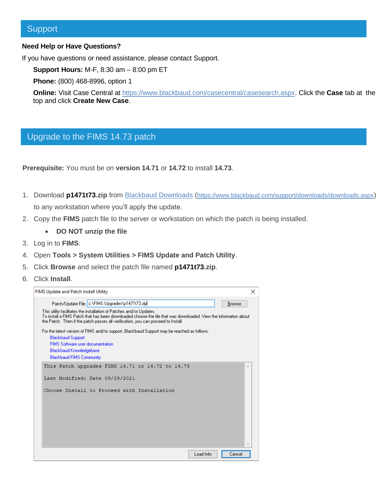# **Support**

#### **Need Help or Have Questions?**

If you have questions or need assistance, please contact Support.

**Support Hours:** M-F, 8:30 am – 8:00 pm ET

**Phone:** (800) 468-8996, option 1

**Online:** Visit Case Central at [https://www.blackbaud.com/casecentral/casesearch.aspx.](https://www.blackbaud.com/casecentral/casesearch.aspx) Click the **Case** tab at the top and click **Create New Case**.

# Upgrade to the FIMS 14.73 patch

**Prerequisite:** You must be on **version 14.71** or **14.72** to install **14.73**.

- 1. Download **p1471t73.zip** from [Blackbaud Downloads](https://www.blackbaud.com/support/downloads/downloads.aspx) (<https://www.blackbaud.com/support/downloads/downloads.aspx>) to any workstation where you'll apply the update.
- 2. Copy the **FIMS** patch file to the server or workstation on which the patch is being installed.
	- **DO NOT unzip the file**
- 3. Log in to **FIMS**.
- 4. Open **Tools > System Utilities > FIMS Update and Patch Utility**.
- 5. Click **Browse** and select the patch file named **p1471t73.zip**.
- 6. Click **Install**.

| FIMS Update and Patch Install Utility                                                                                                                                                                                                                                         | × |
|-------------------------------------------------------------------------------------------------------------------------------------------------------------------------------------------------------------------------------------------------------------------------------|---|
| Patch/Update File: c:\FIMS Upgrades\p1471t73.zip<br><b>Browse</b>                                                                                                                                                                                                             |   |
| This utility facilitates the installation of Patches and/or Updates.<br>To install a FIMS Patch that has been downloaded choose the file that was downloaded. View the information about<br>the Patch. Then if the patch passes all verification, you can proceed to Install. |   |
| For the latest version of FIMS and/or support, Blackbaud Support may be reached as follows:                                                                                                                                                                                   |   |
| <b>Blackbaud Support</b>                                                                                                                                                                                                                                                      |   |
| <b>FIMS</b> Software user documentation                                                                                                                                                                                                                                       |   |
| <b>Blackbaud Knowledgebase</b>                                                                                                                                                                                                                                                |   |
| <b>Blackbaud FIMS Community</b>                                                                                                                                                                                                                                               |   |
| This Patch upgrades FIMS 14.71 or 14.72 to 14.73                                                                                                                                                                                                                              | × |
| Last Modified: Date 09/29/2021                                                                                                                                                                                                                                                |   |
| Choose Install to Proceed with Installation                                                                                                                                                                                                                                   |   |
|                                                                                                                                                                                                                                                                               |   |
|                                                                                                                                                                                                                                                                               |   |
|                                                                                                                                                                                                                                                                               |   |
|                                                                                                                                                                                                                                                                               |   |
|                                                                                                                                                                                                                                                                               |   |
|                                                                                                                                                                                                                                                                               |   |
|                                                                                                                                                                                                                                                                               |   |
|                                                                                                                                                                                                                                                                               | w |
| Load Info<br>Cancel                                                                                                                                                                                                                                                           |   |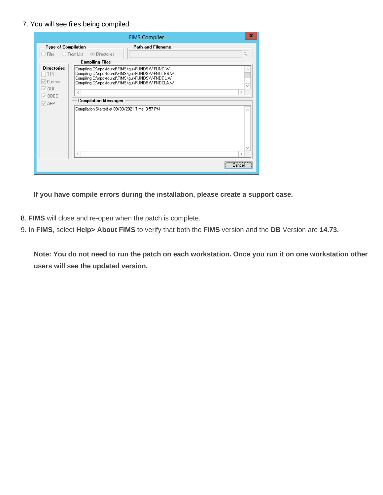7. You will see files being compiled:

| x<br><b>FIMS Compiler</b>                                                      |                                                                                                                                                                                                                                                    |  |  |
|--------------------------------------------------------------------------------|----------------------------------------------------------------------------------------------------------------------------------------------------------------------------------------------------------------------------------------------------|--|--|
| <b>Type of Compilation</b><br>Files                                            | <b>Path and Filename</b><br>Q<br>$\bigcirc$ From List<br>◯ Directories<br><b>Compiling Files</b>                                                                                                                                                   |  |  |
| <b>Directories</b><br>TTY<br>$\mathcal{P}$ Custom<br>$\vee$ GUI<br>$\vee$ ODBC | Compiling C:\npo\found\FIMS\gui\FUNDS\V-FUND.W<br>Compiling C:\npo\found\FIMS\gui\FUNDS\V-FNOTES.W<br>Compiling C:\npo\found\FIMS\gui\FUNDS\V-FNDGL.W<br>Compiling C:\npo\found\FIMS\gui\FUNDS\V-FNDCLA.W<br>≺<br>≻<br><b>Compilation Messages</b> |  |  |
| $\sqrt{}$ APP                                                                  | Compilation Started at 09/30/2021 Time 3:57 PM                                                                                                                                                                                                     |  |  |
|                                                                                | ∢<br><br>Lancel                                                                                                                                                                                                                                    |  |  |

**If you have compile errors during the installation, please create a support case.**

- 8. **FIMS** will close and re-open when the patch is complete.
- 9. In **FIMS**, select **Help> About FIMS** to verify that both the **FIMS** version and the **DB** Version are **14.73.**

**Note: You do not need to run the patch on each workstation. Once you run it on one workstation other users will see the updated version.**